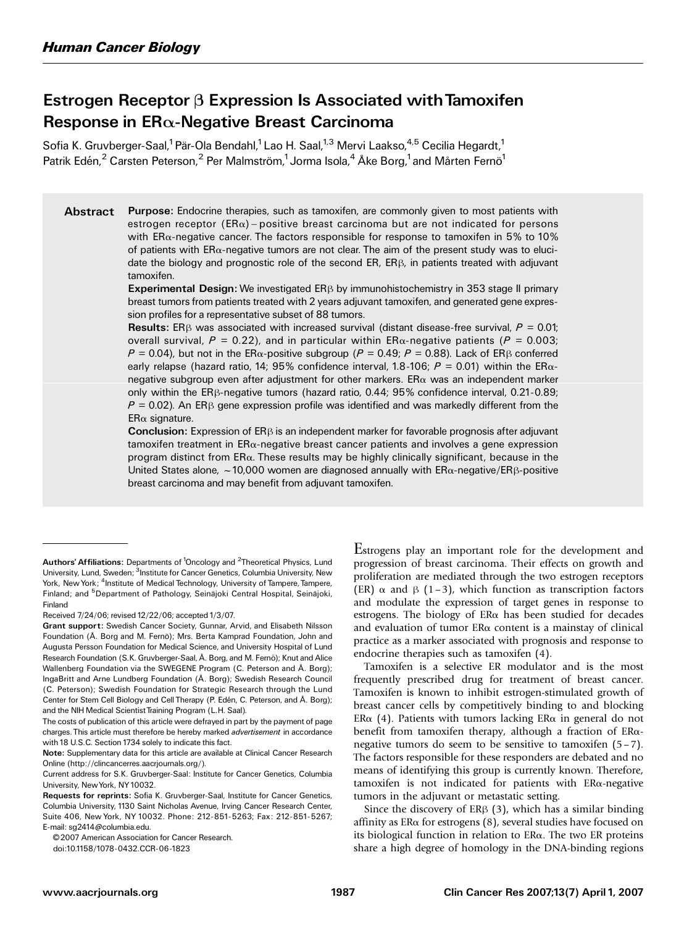# Estrogen Receptor  $\beta$  Expression Is Associated with Tamoxifen Response in ER $\alpha$ -Negative Breast Carcinoma

Sofia K. Gruvberger-Saal,<sup>1</sup> Pär-Ola Bendahl,<sup>1</sup> Lao H. Saal,<sup>1,3</sup> Mervi Laakso,<sup>4,5</sup> Cecilia Hegardt,<sup>1</sup> Patrik Edén,<sup>2</sup> Carsten Peterson,<sup>2</sup> Per Malmström,<sup>1</sup> Jorma Isola,<sup>4</sup> Åke Borg,<sup>1</sup> and Mårten Fernö<sup>1</sup>

Abstract Purpose: Endocrine therapies, such as tamoxifen, are commonly given to most patients with estrogen receptor ( $ER\alpha$ ) – positive breast carcinoma but are not indicated for persons with  $ER\alpha$ -negative cancer. The factors responsible for response to tamoxifen in 5% to 10% of patients with  $ER\alpha$ -negative tumors are not clear. The aim of the present study was to elucidate the biology and prognostic role of the second  $ER$ ,  $ER\beta$ , in patients treated with adjuvant tamoxifen.

> Experimental Design: We investigated ER $\beta$  by immunohistochemistry in 353 stage II primary breast tumors from patients treated with 2 years adjuvant tamoxifen, and generated gene expression profiles for a representative subset of 88 tumors.

> **Results:** ER<sub>B</sub> was associated with increased survival (distant disease-free survival,  $P = 0.01$ ; overall survival,  $P = 0.22$ ), and in particular within ER $\alpha$ -negative patients ( $P = 0.003$ ;  $P = 0.04$ ), but not in the ER $\alpha$ -positive subgroup (P = 0.49; P = 0.88). Lack of ER $\beta$  conferred early relapse (hazard ratio, 14; 95% confidence interval, 1.8-106;  $P = 0.01$ ) within the ER $\alpha$ negative subgroup even after adjustment for other markers.  $ER\alpha$  was an independent marker only within the  $ER\beta$ -negative tumors (hazard ratio, 0.44; 95% confidence interval, 0.21-0.89;  $P = 0.02$ ). An ER<sub>B</sub> gene expression profile was identified and was markedly different from the  $ER\alpha$  signature.

> **Conclusion:** Expression of ER $\beta$  is an independent marker for favorable prognosis after adjuvant  $t$ amoxifen treatment in  $ER\alpha$ -negative breast cancer patients and involves a gene expression program distinct from ERa. These results may be highly clinically significant, because in the United States alone,  $\sim$  10,000 women are diagnosed annually with ER $\alpha$ -negative/ER $\beta$ -positive breast carcinoma and may benefit from adjuvant tamoxifen.

Received 7/24/06; revised 12/22/06; accepted 1/3/07.

© 2007 American Association for Cancer Research.

doi:10.1158/1078-0432.CCR-06-1823

Estrogens play an important role for the development and progression of breast carcinoma. Their effects on growth and proliferation are mediated through the two estrogen receptors (ER)  $\alpha$  and  $\beta$  (1–3), which function as transcription factors and modulate the expression of target genes in response to estrogens. The biology of ERa has been studied for decades and evaluation of tumor  $ER\alpha$  content is a mainstay of clinical practice as a marker associated with prognosis and response to endocrine therapies such as tamoxifen (4).

Tamoxifen is a selective ER modulator and is the most frequently prescribed drug for treatment of breast cancer. Tamoxifen is known to inhibit estrogen-stimulated growth of breast cancer cells by competitively binding to and blocking ER $\alpha$  (4). Patients with tumors lacking ER $\alpha$  in general do not benefit from tamoxifen therapy, although a fraction of ERanegative tumors do seem to be sensitive to tamoxifen (5 – 7). The factors responsible for these responders are debated and no means of identifying this group is currently known. Therefore, tamoxifen is not indicated for patients with  $ER\alpha$ -negative tumors in the adjuvant or metastatic setting.

Since the discovery of  $ER\beta$  (3), which has a similar binding affinity as  $ER\alpha$  for estrogens (8), several studies have focused on its biological function in relation to ERa. The two ER proteins share a high degree of homology in the DNA-binding regions

Authors' Affiliations: Departments of <sup>1</sup>Oncology and <sup>2</sup>Theoretical Physics, Lund University, Lund, Sweden; <sup>3</sup>Institute for Cancer Genetics, Columbia University, New York, New York; <sup>4</sup>Institute of Medical Technology, University of Tampere, Tampere, Finland; and <sup>5</sup>Department of Pathology, Seinäjoki Central Hospital, Seinäjoki, Finland

Grant support: Swedish Cancer Society, Gunnar, Arvid, and Elisabeth Nilsson Foundation (Å. Borg and M. Fernö): Mrs. Berta Kamprad Foundation, John and Augusta Persson Foundation for Medical Science, and University Hospital of Lund Research Foundation (S.K. Gruvberger-Saal, Å. Borg, and M. Fernö); Knut and Alice Wallenberg Foundation via the SWEGENE Program (C. Peterson and Å. Borg); IngaBritt and Arne Lundberg Foundation (Å. Borg); Swedish Research Council (C. Peterson); Swedish Foundation for Strategic Research through the Lund Center for Stem Cell Biology and Cell Therapy (P. Edén, C. Peterson, and Å. Borg); and the NIH Medical Scientist Training Program (L.H. Saal).

The costs of publication of this article were defrayed in part by the payment of page charges. This article must therefore be hereby marked *advertisement* in accordance with 18 U.S.C. Section 1734 solely to indicate this fact.

Note: Supplementary data for this article are available at Clinical Cancer Research Online (http://clincancerres.aacrjournals.org/).

Current address for S.K. Gruvberger-Saal: Institute for Cancer Genetics, Columbia University, NewYork, NY10032.

Requests for reprints: Sofia K. Gruvberger-Saal, Institute for Cancer Genetics, Columbia University, 1130 Saint Nicholas Avenue, Irving Cancer Research Center, Suite 406, New York, NY 10032. Phone: 212-851-5263; Fax: 212-851-5267; E-mail: sg2414@columbia.edu.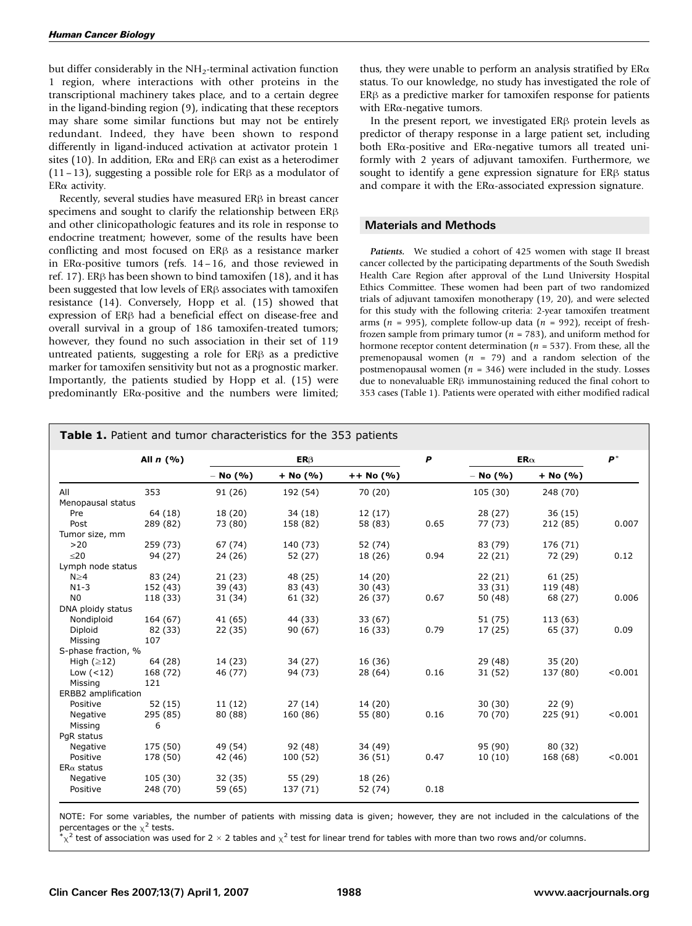but differ considerably in the  $NH<sub>2</sub>$ -terminal activation function 1 region, where interactions with other proteins in the transcriptional machinery takes place, and to a certain degree in the ligand-binding region (9), indicating that these receptors may share some similar functions but may not be entirely redundant. Indeed, they have been shown to respond differently in ligand-induced activation at activator protein 1 sites (10). In addition,  $ER\alpha$  and  $ER\beta$  can exist as a heterodimer  $(11-13)$ , suggesting a possible role for ER $\beta$  as a modulator of  $ER\alpha$  activity.

Recently, several studies have measured  $ER\beta$  in breast cancer specimens and sought to clarify the relationship between  $ER\beta$ and other clinicopathologic features and its role in response to endocrine treatment; however, some of the results have been conflicting and most focused on ER<sub>B</sub> as a resistance marker in  $ER\alpha$ -positive tumors (refs. 14 – 16, and those reviewed in ref. 17). ER $\beta$  has been shown to bind tamoxifen (18), and it has been suggested that low levels of  $ER\beta$  associates with tamoxifen resistance (14). Conversely, Hopp et al. (15) showed that expression of ER<sub>B</sub> had a beneficial effect on disease-free and overall survival in a group of 186 tamoxifen-treated tumors; however, they found no such association in their set of 119 untreated patients, suggesting a role for  $ER\beta$  as a predictive marker for tamoxifen sensitivity but not as a prognostic marker. Importantly, the patients studied by Hopp et al. (15) were predominantly ERa-positive and the numbers were limited;

thus, they were unable to perform an analysis stratified by  $ER\alpha$ status. To our knowledge, no study has investigated the role of  $ER\beta$  as a predictive marker for tamoxifen response for patients with  $ER\alpha$ -negative tumors.

In the present report, we investigated  $ER\beta$  protein levels as predictor of therapy response in a large patient set, including both ER $\alpha$ -positive and ER $\alpha$ -negative tumors all treated uniformly with 2 years of adjuvant tamoxifen. Furthermore, we sought to identify a gene expression signature for  $ER\beta$  status and compare it with the  $ER\alpha$ -associated expression signature.

## Materials and Methods

Patients. We studied a cohort of 425 women with stage II breast cancer collected by the participating departments of the South Swedish Health Care Region after approval of the Lund University Hospital Ethics Committee. These women had been part of two randomized trials of adjuvant tamoxifen monotherapy (19, 20), and were selected for this study with the following criteria: 2-year tamoxifen treatment arms ( $n = 995$ ), complete follow-up data ( $n = 992$ ), receipt of freshfrozen sample from primary tumor ( $n = 783$ ), and uniform method for hormone receptor content determination ( $n = 537$ ). From these, all the premenopausal women ( $n = 79$ ) and a random selection of the postmenopausal women ( $n = 346$ ) were included in the study. Losses due to nonevaluable  $ER\beta$  immunostaining reduced the final cohort to 353 cases (Table 1). Patients were operated with either modified radical

|                            | All $n(%)$           | $ER\beta$          |                     |                    | $\boldsymbol{P}$ | $ER\alpha$ |          | $P^*$   |
|----------------------------|----------------------|--------------------|---------------------|--------------------|------------------|------------|----------|---------|
|                            |                      | $-$ No (%)         | $+$ No (%)          | $++ No (%)$        |                  | $-$ No (%) | + No (%) |         |
| All                        | 353                  | 91 (26)            | 192 (54)            | 70 (20)            |                  | 105 (30)   | 248 (70) |         |
| Menopausal status          |                      |                    |                     |                    |                  |            |          |         |
| Pre                        | 64 (18)              | 18 (20)            | 34(18)              | 12(17)             |                  | 28(27)     | 36(15)   |         |
| Post                       | 289 (82)             | 73 (80)            | 158 (82)            | 58 (83)            | 0.65             | 77 (73)    | 212 (85) | 0.007   |
| Tumor size, mm             |                      |                    |                     |                    |                  |            |          |         |
| >20                        | 259 (73)             | 67 (74)            | 140 (73)            | 52 (74)            |                  | 83 (79)    | 176 (71) |         |
| $\leq$ 20                  | 94 (27)              | 24 (26)            | 52 (27)             | 18 (26)            | 0.94             | 22(21)     | 72 (29)  | 0.12    |
| Lymph node status          |                      |                    |                     |                    |                  |            |          |         |
| $N \geq 4$                 | 83 (24)              | 21(23)             | 48 (25)             | 14 (20)            |                  | 22(21)     | 61 (25)  |         |
| $N1-3$                     | 152 (43)             | 39 (43)            | 83 (43)             | 30(43)             |                  | 33 (31)    | 119 (48) |         |
| N <sub>0</sub>             | 118 (33)             | 31 (34)            | 61 (32)             | 26 (37)            | 0.67             | 50 (48)    | 68 (27)  | 0.006   |
| DNA ploidy status          |                      |                    |                     |                    |                  |            |          |         |
| Nondiploid                 | 164 (67)             | 41 (65)            | 44 (33)             | 33(67)             |                  | 51 (75)    | 113(63)  |         |
| Diploid                    | 82 (33)              | 22 (35)            | 90(67)              | 16 (33)            | 0.79             | 17 (25)    | 65 (37)  | 0.09    |
| Missing                    | 107                  |                    |                     |                    |                  |            |          |         |
| S-phase fraction, %        |                      |                    |                     |                    |                  |            |          |         |
| High $(≥12)$               | 64 (28)              | 14 (23)            | 34 (27)             | 16 (36)            |                  | 29 (48)    | 35(20)   |         |
| Low $(<12)$                | 168 (72)             | 46 (77)            | 94 (73)             | 28 (64)            | 0.16             | 31 (52)    | 137 (80) | < 0.001 |
| Missing                    | 121                  |                    |                     |                    |                  |            |          |         |
| <b>ERBB2</b> amplification |                      |                    |                     |                    |                  |            |          |         |
| Positive                   | 52(15)               | 11(12)             | 27(14)              | 14 (20)            |                  | 30(30)     | 22(9)    |         |
| Negative                   | 295 (85)             | 80 (88)            | 160 (86)            | 55 (80)            | 0.16             | 70 (70)    | 225 (91) | < 0.001 |
| Missing                    | 6                    |                    |                     |                    |                  |            |          |         |
| PqR status                 |                      |                    |                     |                    |                  |            |          |         |
|                            |                      |                    | 92 (48)             |                    |                  | 95 (90)    | 80 (32)  |         |
| Negative                   | 175 (50)             | 49 (54)            |                     | 34 (49)            | 0.47             |            |          |         |
| Positive                   | 178 (50)             | 42 (46)            | 100 (52)            | 36(51)             |                  | 10(10)     | 168 (68) | < 0.001 |
| $ER\alpha$ status          |                      |                    |                     |                    |                  |            |          |         |
| Negative<br>Positive       | 105 (30)<br>248 (70) | 32 (35)<br>59 (65) | 55 (29)<br>137 (71) | 18 (26)<br>52 (74) | 0.18             |            |          |         |

NOTE: For some variables, the number of patients with missing data is given; however, they are not included in the calculations of the percentages or the  $x^2$  tests.

 $*_\chi^2$  test of association was used for 2  $\times$  2 tables and  $_\chi^2$  test for linear trend for tables with more than two rows and/or columns.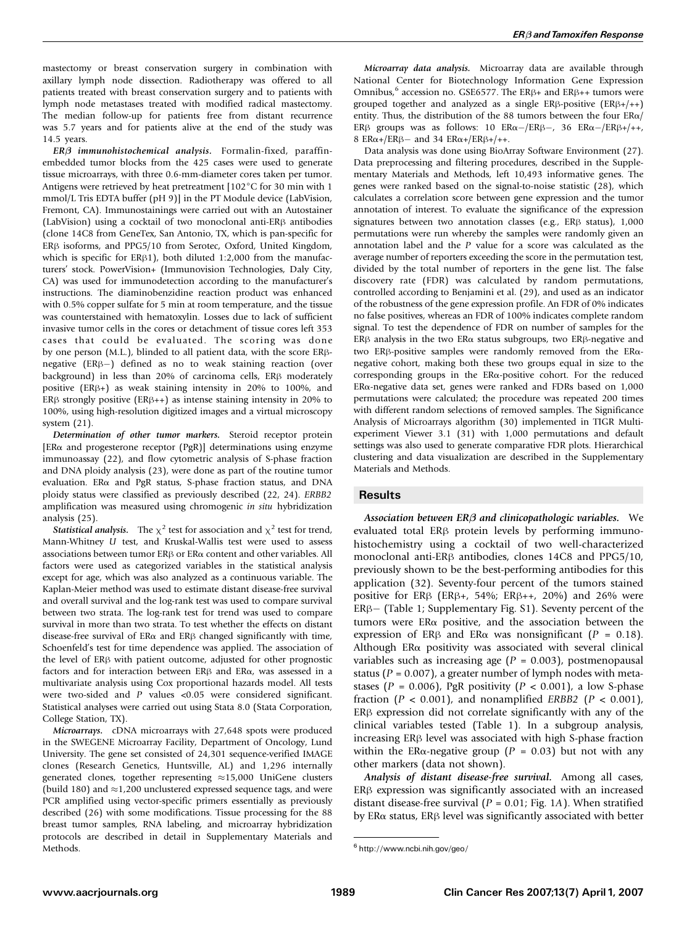mastectomy or breast conservation surgery in combination with axillary lymph node dissection. Radiotherapy was offered to all patients treated with breast conservation surgery and to patients with lymph node metastases treated with modified radical mastectomy. The median follow-up for patients free from distant recurrence was 5.7 years and for patients alive at the end of the study was 14.5 years.

 $ER\beta$  immunohistochemical analysis. Formalin-fixed, paraffinembedded tumor blocks from the 425 cases were used to generate tissue microarrays, with three 0.6-mm-diameter cores taken per tumor. Antigens were retrieved by heat pretreatment  $[102^{\circ}C$  for 30 min with 1 mmol/L Tris EDTA buffer (pH 9)] in the PT Module device (LabVision, Fremont, CA). Immunostainings were carried out with an Autostainer (LabVision) using a cocktail of two monoclonal anti-ER $\beta$  antibodies (clone 14C8 from GeneTex, San Antonio, TX, which is pan-specific for  $ER\beta$  isoforms, and PPG5/10 from Serotec, Oxford, United Kingdom, which is specific for ER $\beta$ 1), both diluted 1:2,000 from the manufacturers' stock. PowerVision+ (Immunovision Technologies, Daly City, CA) was used for immunodetection according to the manufacturer's instructions. The diaminobenzidine reaction product was enhanced with 0.5% copper sulfate for 5 min at room temperature, and the tissue was counterstained with hematoxylin. Losses due to lack of sufficient invasive tumor cells in the cores or detachment of tissue cores left 353 cases that could be evaluated. The scoring was done by one person (M.L.), blinded to all patient data, with the score ERßnegative  $(ER\beta-)$  defined as no to weak staining reaction (over background) in less than 20% of carcinoma cells,  $ER\beta$  moderately positive (ER $\beta$ +) as weak staining intensity in 20% to 100%, and ER $\beta$  strongly positive (ER $\beta$ ++) as intense staining intensity in 20% to 100%, using high-resolution digitized images and a virtual microscopy system (21).

Determination of other tumor markers. Steroid receptor protein [ER $\alpha$  and progesterone receptor (PgR)] determinations using enzyme immunoassay (22), and flow cytometric analysis of S-phase fraction and DNA ploidy analysis (23), were done as part of the routine tumor evaluation. ERa and PgR status, S-phase fraction status, and DNA ploidy status were classified as previously described (22, 24). ERBB2 amplification was measured using chromogenic in situ hybridization analysis (25).

**Statistical analysis.** The  $\chi^2$  test for association and  $\chi^2$  test for trend, Mann-Whitney U test, and Kruskal-Wallis test were used to assess associations between tumor ER $\beta$  or ER $\alpha$  content and other variables. All factors were used as categorized variables in the statistical analysis except for age, which was also analyzed as a continuous variable. The Kaplan-Meier method was used to estimate distant disease-free survival and overall survival and the log-rank test was used to compare survival between two strata. The log-rank test for trend was used to compare survival in more than two strata. To test whether the effects on distant disease-free survival of  $ER\alpha$  and  $ER\beta$  changed significantly with time, Schoenfeld's test for time dependence was applied. The association of the level of ER<sub>B</sub> with patient outcome, adjusted for other prognostic factors and for interaction between ER $\beta$  and ER $\alpha$ , was assessed in a multivariate analysis using Cox proportional hazards model. All tests were two-sided and P values <0.05 were considered significant. Statistical analyses were carried out using Stata 8.0 (Stata Corporation, College Station, TX).

Microarrays. cDNA microarrays with 27,648 spots were produced in the SWEGENE Microarray Facility, Department of Oncology, Lund University. The gene set consisted of 24,301 sequence-verified IMAGE clones (Research Genetics, Huntsville, AL) and 1,296 internally generated clones, together representing  $\approx$ 15,000 UniGene clusters (build 180) and  $\approx$  1,200 unclustered expressed sequence tags, and were PCR amplified using vector-specific primers essentially as previously described (26) with some modifications. Tissue processing for the 88 breast tumor samples, RNA labeling, and microarray hybridization protocols are described in detail in Supplementary Materials and Methods.

Microarray data analysis. Microarray data are available through National Center for Biotechnology Information Gene Expression Omnibus,<sup>6</sup> accession no. GSE6577. The ER $\beta$ + and ER $\beta$ ++ tumors were grouped together and analyzed as a single  $ER\beta$ -positive  $(ER\beta +/++)$ entity. Thus, the distribution of the 88 tumors between the four  $ER\alpha/$ ER $\beta$  groups was as follows: 10 ER $\alpha$ -/ER $\beta$ -, 36 ER $\alpha$ -/ER $\beta$ +/++, 8 ER $\alpha$ +/ER $\beta$  and 34 ER $\alpha$ +/ER $\beta$ +/++.

Data analysis was done using BioArray Software Environment (27). Data preprocessing and filtering procedures, described in the Supplementary Materials and Methods, left 10,493 informative genes. The genes were ranked based on the signal-to-noise statistic (28), which calculates a correlation score between gene expression and the tumor annotation of interest. To evaluate the significance of the expression signatures between two annotation classes (e.g.,  $ER\beta$  status),  $1,000$ permutations were run whereby the samples were randomly given an annotation label and the P value for a score was calculated as the average number of reporters exceeding the score in the permutation test, divided by the total number of reporters in the gene list. The false discovery rate (FDR) was calculated by random permutations, controlled according to Benjamini et al. (29), and used as an indicator of the robustness of the gene expression profile. An FDR of 0% indicates no false positives, whereas an FDR of 100% indicates complete random signal. To test the dependence of FDR on number of samples for the ER $\beta$  analysis in the two ER $\alpha$  status subgroups, two ER $\beta$ -negative and two ER $\beta$ -positive samples were randomly removed from the ER $\alpha$ negative cohort, making both these two groups equal in size to the corresponding groups in the ERa-positive cohort. For the reduced ERa-negative data set, genes were ranked and FDRs based on 1,000 permutations were calculated; the procedure was repeated 200 times with different random selections of removed samples. The Significance Analysis of Microarrays algorithm (30) implemented in TIGR Multiexperiment Viewer 3.1 (31) with 1,000 permutations and default settings was also used to generate comparative FDR plots. Hierarchical clustering and data visualization are described in the Supplementary Materials and Methods.

## Results

Association between  $ER\beta$  and clinicopathologic variables. We evaluated total  $ER\beta$  protein levels by performing immunohistochemistry using a cocktail of two well-characterized monoclonal anti-ER $\beta$  antibodies, clones 14C8 and PPG5/10, previously shown to be the best-performing antibodies for this application (32). Seventy-four percent of the tumors stained positive for ER $\beta$  (ER $\beta$ +, 54%; ER $\beta$ ++, 20%) and 26% were  $ER\beta$  (Table 1; Supplementary Fig. S1). Seventy percent of the tumors were  $ER\alpha$  positive, and the association between the expression of ER $\beta$  and ER $\alpha$  was nonsignificant (P = 0.18). Although ER $\alpha$  positivity was associated with several clinical variables such as increasing age  $(P = 0.003)$ , postmenopausal status ( $P = 0.007$ ), a greater number of lymph nodes with metastases ( $P = 0.006$ ), PgR positivity ( $P < 0.001$ ), a low S-phase fraction ( $P < 0.001$ ), and nonamplified ERBB2 ( $P < 0.001$ ),  $ER\beta$  expression did not correlate significantly with any of the clinical variables tested (Table 1). In a subgroup analysis,  $increasing ER\beta$  level was associated with high S-phase fraction within the ER $\alpha$ -negative group ( $P = 0.03$ ) but not with any other markers (data not shown).

Analysis of distant disease-free survival. Among all cases,  $ER\beta$  expression was significantly associated with an increased distant disease-free survival ( $P = 0.01$ ; Fig. 1A). When stratified by ER $\alpha$  status, ER $\beta$  level was significantly associated with better

<sup>6</sup> http://www.ncbi.nih.gov/geo/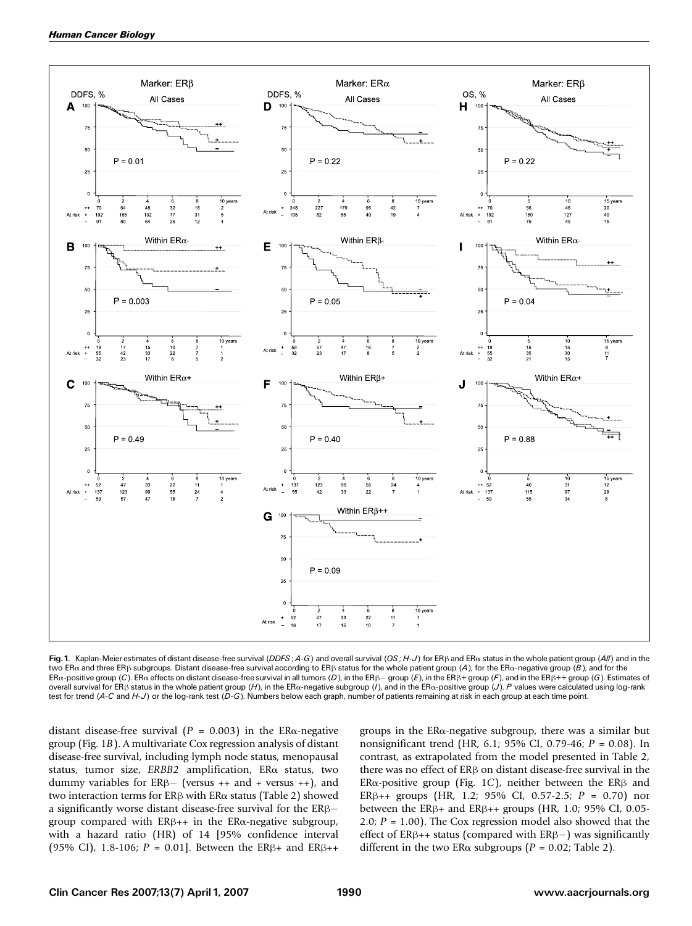

Fig. 1. Kaplan-Meier estimates of distant disease-free survival (DDFS; A-G) and overall survival (OS; H-J) for ER $\beta$  and ER $\alpha$  status in the whole patient group (All) and in the two ER $\alpha$  and three ER $\beta$  subgroups. Distant disease-free survival according to ER $\beta$  status for the whole patient group (A), for the ER $\alpha$ -negative group (B), and for the ER $\alpha$ -positive group (C). ER $\alpha$  effects on distant disease-free survival in all tumors (D), in the ER $\beta$ – group (E), in the ER $\beta$ + group (F), and in the ER $\beta$ ++ group (G). Estimates of overall survival for ER $\beta$  status in the whole patient group (H), in the ER $\alpha$ -negative subgroup (/), and in the ER $\alpha$ -positive group (J). P values were calculated using log-rank test for trend (A-C and H-J) or the log-rank test (D-G). Numbers below each graph, number of patients remaining at risk in each group at each time point.

distant disease-free survival ( $P = 0.003$ ) in the ER $\alpha$ -negative group (Fig. 1B). A multivariate Coxregression analysis of distant disease-free survival, including lymph node status, menopausal status, tumor size, ERBB2 amplification, ERa status, two dummy variables for  $ER\beta$  (versus ++ and + versus ++), and two interaction terms for  $ER\beta$  with  $ER\alpha$  status (Table 2) showed a significantly worse distant disease-free survival for the  $ER\beta$ group compared with  $ER\beta++$  in the  $ER\alpha$ -negative subgroup, with a hazard ratio (HR) of 14 [95% confidence interval (95% CI), 1.8-106;  $P = 0.01$ . Between the ER $\beta$ + and ER $\beta$ ++ groups in the ERa-negative subgroup, there was a similar but nonsignificant trend (HR, 6.1; 95% CI, 0.79-46;  $P = 0.08$ ). In contrast, as extrapolated from the model presented in Table 2, there was no effect of  $ER\beta$  on distant disease-free survival in the ER $\alpha$ -positive group (Fig. 1C), neither between the ER $\beta$  and ER $\beta$ ++ groups (HR, 1.2; 95% CI, 0.57-2.5; P = 0.70) nor between the ER $\beta$ + and ER $\beta$ ++ groups (HR, 1.0; 95% CI, 0.05-2.0;  $P = 1.00$ ). The Cox regression model also showed that the effect of  $ER\beta++$  status (compared with  $ER\beta-$ ) was significantly different in the two ER $\alpha$  subgroups (P = 0.02; Table 2).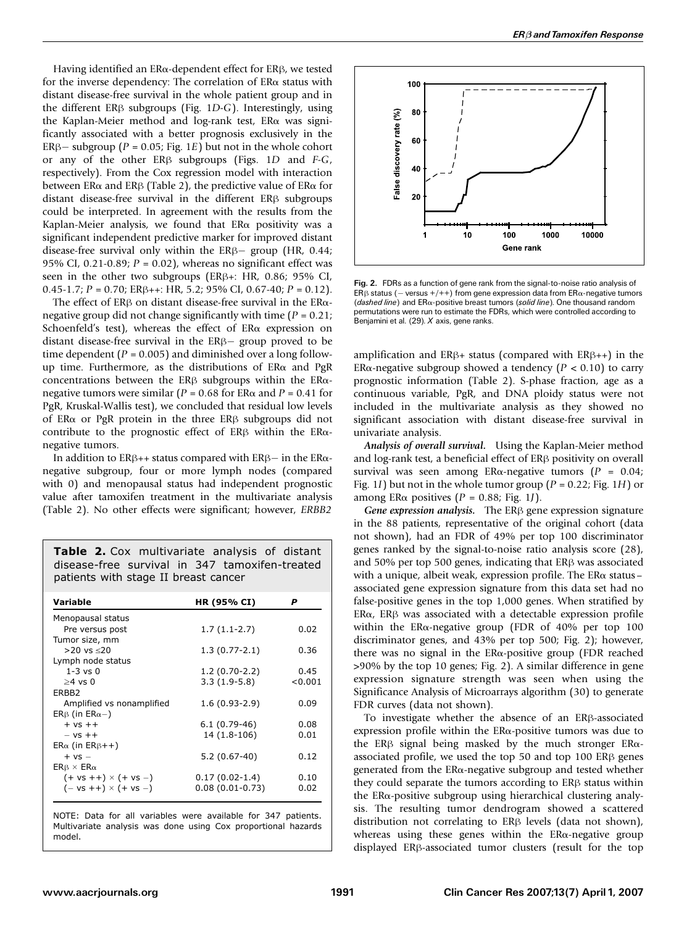Having identified an  $ER\alpha$ -dependent effect for  $ER\beta$ , we tested for the inverse dependency: The correlation of  $ER\alpha$  status with distant disease-free survival in the whole patient group and in the different ER $\beta$  subgroups (Fig. 1D-G). Interestingly, using the Kaplan-Meier method and log-rank test, ERa was significantly associated with a better prognosis exclusively in the ER $\beta$ – subgroup (P = 0.05; Fig. 1E) but not in the whole cohort or any of the other  $ER\beta$  subgroups (Figs. 1D and F-G, respectively). From the Cox regression model with interaction between ER $\alpha$  and ER $\beta$  (Table 2), the predictive value of ER $\alpha$  for distant disease-free survival in the different  $ER\beta$  subgroups could be interpreted. In agreement with the results from the Kaplan-Meier analysis, we found that  $ER\alpha$  positivity was a significant independent predictive marker for improved distant disease-free survival only within the  $ER\beta$  group (HR, 0.44; 95% CI, 0.21-0.89;  $P = 0.02$ ), whereas no significant effect was seen in the other two subgroups ( $ER\beta+$ : HR, 0.86; 95% CI,  $0.45-1.7$ ;  $P = 0.70$ ;  $ER\beta++$ : HR, 5.2; 95% CI, 0.67-40;  $P = 0.12$ ).

The effect of ER $\beta$  on distant disease-free survival in the ER $\alpha$ negative group did not change significantly with time  $(P = 0.21)$ ; Schoenfeld's test), whereas the effect of ERa expression on distant disease-free survival in the  $ER\beta$  group proved to be time dependent ( $P = 0.005$ ) and diminished over a long followup time. Furthermore, as the distributions of  $ER\alpha$  and PgR concentrations between the ER $\beta$  subgroups within the ER $\alpha$ negative tumors were similar ( $P = 0.68$  for ER $\alpha$  and  $P = 0.41$  for PgR, Kruskal-Wallis test), we concluded that residual low levels of ER $\alpha$  or PgR protein in the three ER $\beta$  subgroups did not contribute to the prognostic effect of  $ER\beta$  within the  $ER\alpha$ negative tumors.

In addition to ER $\beta$ ++ status compared with ER $\beta$ - in the ER $\alpha$ negative subgroup, four or more lymph nodes (compared with 0) and menopausal status had independent prognostic value after tamoxifen treatment in the multivariate analysis (Table 2). No other effects were significant; however, ERBB2

Table 2. Cox multivariate analysis of distant disease-free survival in 347 tamoxifen-treated patients with stage II breast cancer

| Variable                                      | HR (95% CI)       | P       |
|-----------------------------------------------|-------------------|---------|
| Menopausal status                             |                   |         |
| Pre versus post                               | $1.7(1.1-2.7)$    | 0.02    |
| Tumor size, mm                                |                   |         |
| $>20$ vs $<$ 20                               | $1.3(0.77-2.1)$   | 0.36    |
| Lymph node status                             |                   |         |
| $1-3$ vs $0$                                  | $1.2(0.70-2.2)$   | 0.45    |
| $>4$ vs 0                                     | $3.3(1.9-5.8)$    | < 0.001 |
| ERBB <sub>2</sub>                             |                   |         |
| Amplified vs nonamplified                     | $1.6(0.93-2.9)$   | 0.09    |
| $ER\beta$ (in $ER\alpha-$ )                   |                   |         |
| $+ vs + +$                                    | $6.1(0.79-46)$    | 0.08    |
| $-VS$ ++                                      | 14 (1.8-106)      | 0.01    |
| $ER_{\alpha}$ (in $ER_{\beta}$ ++)            |                   |         |
| $+ vs -$                                      | $5.2(0.67-40)$    | 0.12    |
| $ER\beta \times ER\alpha$                     |                   |         |
| $(+ \text{ vs } ++) \times (+ \text{ vs } -)$ | $0.17(0.02-1.4)$  | 0.10    |
| $(- \text{vs} ++) \times (+ \text{vs} -)$     | $0.08(0.01-0.73)$ | 0.02    |
|                                               |                   |         |

NOTE: Data for all variables were available for 347 patients. Multivariate analysis was done using Cox proportional hazards model.



Fig. 2. FDRs as a function of gene rank from the signal-to-noise ratio analysis of ER $\beta$  status ( – versus +/++) from gene expression data from ER $\alpha$ -negative tumors (dashed line) and  $ER\alpha$ -positive breast tumors (solid line). One thousand random permutations were run to estimate the FDRs, which were controlled according to Benjamini et al. (29). X axis, gene ranks.

amplification and ER $\beta$ + status (compared with ER $\beta$ ++) in the ER $\alpha$ -negative subgroup showed a tendency ( $P < 0.10$ ) to carry prognostic information (Table 2). S-phase fraction, age as a continuous variable, PgR, and DNA ploidy status were not included in the multivariate analysis as they showed no significant association with distant disease-free survival in univariate analysis.

Analysis of overall survival. Using the Kaplan-Meier method and  $log$ -rank test, a beneficial effect of  $ER\beta$  positivity on overall survival was seen among ER $\alpha$ -negative tumors ( $P = 0.04$ ; Fig. 1*I*) but not in the whole tumor group ( $P = 0.22$ ; Fig. 1*H*) or among ER $\alpha$  positives (P = 0.88; Fig. 1J).

Gene expression analysis. The ER<sub>B</sub> gene expression signature in the 88 patients, representative of the original cohort (data not shown), had an FDR of 49% per top 100 discriminator genes ranked by the signal-to-noise ratio analysis score (28), and 50% per top 500 genes, indicating that  $ER\beta$  was associated with a unique, albeit weak, expression profile. The ERa status associated gene expression signature from this data set had no false-positive genes in the top 1,000 genes. When stratified by  $ER\alpha$ ,  $ER\beta$  was associated with a detectable expression profile within the ERa-negative group (FDR of 40% per top 100 discriminator genes, and 43% per top 500; Fig. 2); however, there was no signal in the ERa-positive group (FDR reached >90% by the top 10 genes; Fig. 2). A similar difference in gene expression signature strength was seen when using the Significance Analysis of Microarrays algorithm (30) to generate FDR curves (data not shown).

To investigate whether the absence of an  $ER\beta$ -associated expression profile within the  $ER\alpha$ -positive tumors was due to the ERB signal being masked by the much stronger ER $\alpha$ associated profile, we used the top  $50$  and top  $100$  ER $\beta$  genes generated from the ERa-negative subgroup and tested whether they could separate the tumors according to  $ER\beta$  status within the ERa-positive subgroup using hierarchical clustering analysis. The resulting tumor dendrogram showed a scattered distribution not correlating to  $ER\beta$  levels (data not shown), whereas using these genes within the ERa-negative group displayed ER<sub>B</sub>-associated tumor clusters (result for the top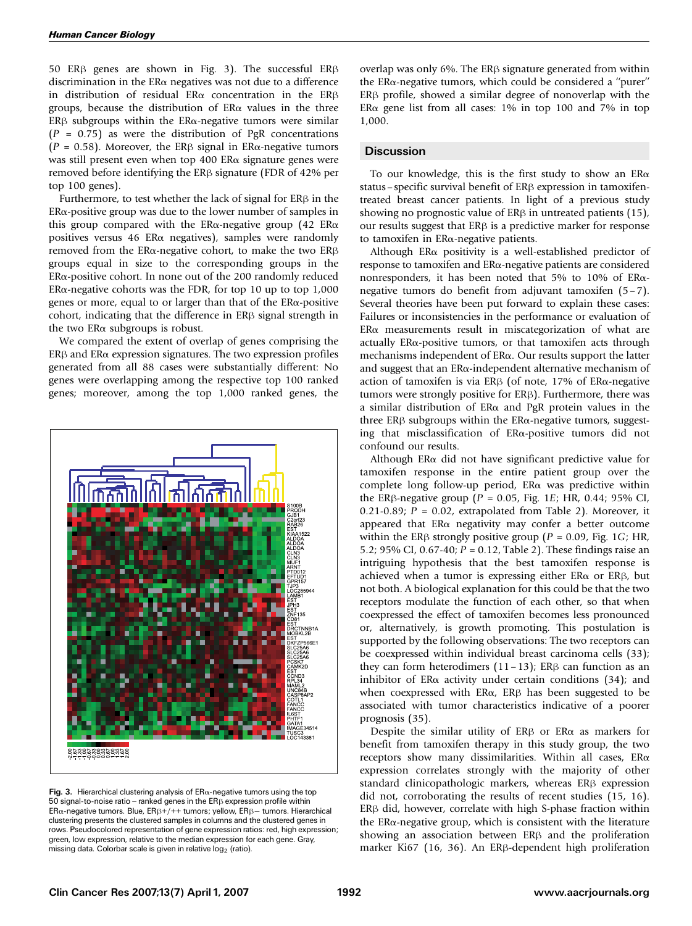50 ER $\beta$  genes are shown in Fig. 3). The successful ER $\beta$ discrimination in the ERa negatives was not due to a difference in distribution of residual ER $\alpha$  concentration in the ER $\beta$ groups, because the distribution of  $ER\alpha$  values in the three ER $\beta$  subgroups within the ER $\alpha$ -negative tumors were similar  $(P = 0.75)$  as were the distribution of PgR concentrations ( $P = 0.58$ ). Moreover, the ER $\beta$  signal in ER $\alpha$ -negative tumors was still present even when top 400 ERa signature genes were removed before identifying the ER<sub>B</sub> signature (FDR of 42% per top 100 genes).

Furthermore, to test whether the lack of signal for  $ER\beta$  in the  $ER\alpha$ -positive group was due to the lower number of samples in this group compared with the ER $\alpha$ -negative group (42 ER $\alpha$ ) positives versus 46 ER $\alpha$  negatives), samples were randomly removed from the ER $\alpha$ -negative cohort, to make the two ER $\beta$ groups equal in size to the corresponding groups in the  $ER\alpha$ -positive cohort. In none out of the 200 randomly reduced ER $\alpha$ -negative cohorts was the FDR, for top 10 up to top 1,000 genes or more, equal to or larger than that of the ERa-positive cohort, indicating that the difference in  $ER\beta$  signal strength in the two  $ER\alpha$  subgroups is robust.

We compared the extent of overlap of genes comprising the  $ER\beta$  and  $ER\alpha$  expression signatures. The two expression profiles generated from all 88 cases were substantially different: No genes were overlapping among the respective top 100 ranked genes; moreover, among the top 1,000 ranked genes, the



Fig. 3. Hierarchical clustering analysis of  $ER\alpha$ -negative tumors using the top 50 signal-to-noise ratio - ranked genes in the  $ER\beta$  expression profile within ER $\alpha$ -negative tumors. Blue, ER $\beta$ +/++ tumors; yellow, ER $\beta$  – tumors. Hierarchical clustering presents the clustered samples in columns and the clustered genes in rows. Pseudocolored representation of gene expression ratios: red, high expression; green, low expression, relative to the median expression for each gene. Gray, missing data. Colorbar scale is given in relative  $log<sub>2</sub>$  (ratio).

overlap was only 6%. The  $ER\beta$  signature generated from within the ER $\alpha$ -negative tumors, which could be considered a "purer"  $ER\beta$  profile, showed a similar degree of nonoverlap with the ER $\alpha$  gene list from all cases: 1% in top 100 and 7% in top 1,000.

## **Discussion**

To our knowledge, this is the first study to show an  $ER\alpha$ status – specific survival benefit of  $ER\beta$  expression in tamoxifentreated breast cancer patients. In light of a previous study showing no prognostic value of  $ER\beta$  in untreated patients (15), our results suggest that  $ER\beta$  is a predictive marker for response to tamoxifen in ERa-negative patients.

Although ER $\alpha$  positivity is a well-established predictor of response to tamoxifen and  $ER\alpha$ -negative patients are considered nonresponders, it has been noted that 5% to 10% of ERanegative tumors do benefit from adjuvant tamoxifen (5 – 7). Several theories have been put forward to explain these cases: Failures or inconsistencies in the performance or evaluation of  $ER\alpha$  measurements result in miscategorization of what are actually ERa-positive tumors, or that tamoxifen acts through mechanisms independent of  $ER\alpha$ . Our results support the latter and suggest that an ERa-independent alternative mechanism of action of tamoxifen is via ER $\beta$  (of note, 17% of ER $\alpha$ -negative tumors were strongly positive for  $ER\beta$ ). Furthermore, there was a similar distribution of  $ER\alpha$  and PgR protein values in the three ER $\beta$  subgroups within the ER $\alpha$ -negative tumors, suggesting that misclassification of ERa-positive tumors did not confound our results.

Although ER $\alpha$  did not have significant predictive value for tamoxifen response in the entire patient group over the complete long follow-up period,  $ER\alpha$  was predictive within the ER<sub>B</sub>-negative group ( $P = 0.05$ , Fig. 1E; HR, 0.44; 95% CI, 0.21-0.89;  $P = 0.02$ , extrapolated from Table 2). Moreover, it appeared that  $ER\alpha$  negativity may confer a better outcome within the ER<sub>B</sub> strongly positive group ( $P = 0.09$ , Fig. 1G; HR, 5.2; 95% CI, 0.67-40; P = 0.12, Table 2). These findings raise an intriguing hypothesis that the best tamoxifen response is achieved when a tumor is expressing either  $ER\alpha$  or  $ER\beta$ , but not both. A biological explanation for this could be that the two receptors modulate the function of each other, so that when coexpressed the effect of tamoxifen becomes less pronounced or, alternatively, is growth promoting. This postulation is supported by the following observations: The two receptors can be coexpressed within individual breast carcinoma cells (33); they can form heterodimers  $(11-13)$ ; ER $\beta$  can function as an inhibitor of ER $\alpha$  activity under certain conditions (34); and when coexpressed with  $ER\alpha$ ,  $ER\beta$  has been suggested to be associated with tumor characteristics indicative of a poorer prognosis (35).

Despite the similar utility of  $ER\beta$  or  $ER\alpha$  as markers for benefit from tamoxifen therapy in this study group, the two receptors show many dissimilarities. Within all cases,  $ER\alpha$ expression correlates strongly with the majority of other standard clinicopathologic markers, whereas  $ER\beta$  expression did not, corroborating the results of recent studies (15, 16).  $ER\beta$  did, however, correlate with high S-phase fraction within the  $ER\alpha$ -negative group, which is consistent with the literature showing an association between  $ER\beta$  and the proliferation marker Ki67 (16, 36). An ER $\beta$ -dependent high proliferation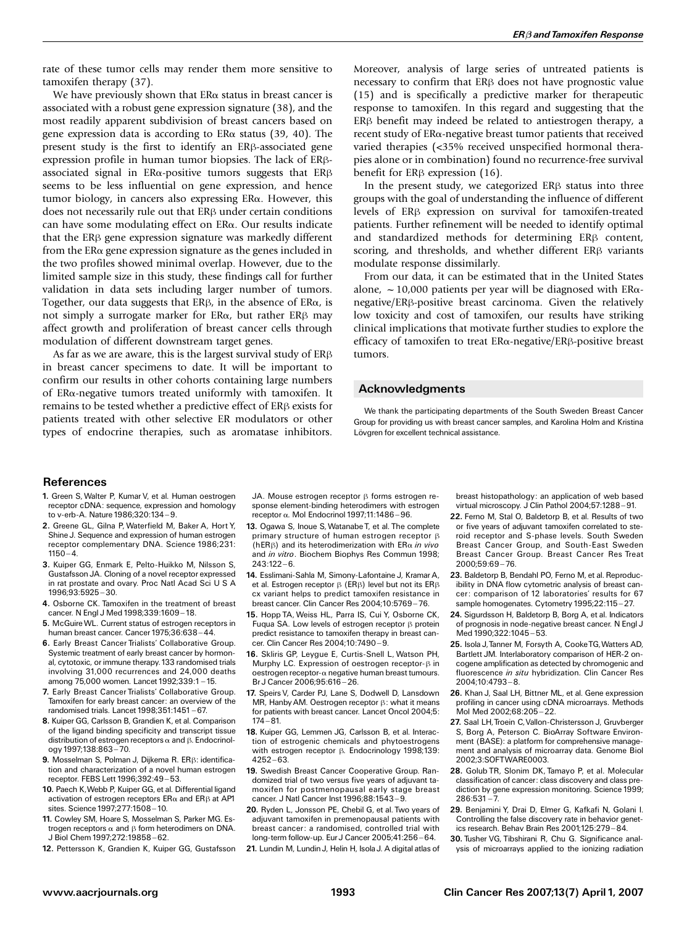rate of these tumor cells may render them more sensitive to tamoxifen therapy (37).

We have previously shown that  $ER\alpha$  status in breast cancer is associated with a robust gene expression signature (38), and the most readily apparent subdivision of breast cancers based on gene expression data is according to  $ER\alpha$  status (39, 40). The present study is the first to identify an  $ER\beta$ -associated gene expression profile in human tumor biopsies. The lack of ERßassociated signal in  $ER\alpha$ -positive tumors suggests that  $ER\beta$ seems to be less influential on gene expression, and hence tumor biology, in cancers also expressing ERa. However, this does not necessarily rule out that  $ER\beta$  under certain conditions can have some modulating effect on ERa. Our results indicate that the  $ER\beta$  gene expression signature was markedly different from the  $ER\alpha$  gene expression signature as the genes included in the two profiles showed minimal overlap. However, due to the limited sample size in this study, these findings call for further validation in data sets including larger number of tumors. Together, our data suggests that  $ER\beta$ , in the absence of  $ER\alpha$ , is not simply a surrogate marker for  $ER\alpha$ , but rather  $ER\beta$  may affect growth and proliferation of breast cancer cells through modulation of different downstream target genes.

As far as we are aware, this is the largest survival study of  $ER\beta$ in breast cancer specimens to date. It will be important to confirm our results in other cohorts containing large numbers of ERa-negative tumors treated uniformly with tamoxifen. It remains to be tested whether a predictive effect of  $ER\beta$  exists for patients treated with other selective ER modulators or other types of endocrine therapies, such as aromatase inhibitors. Moreover, analysis of large series of untreated patients is necessary to confirm that  $ER\beta$  does not have prognostic value (15) and is specifically a predictive marker for therapeutic response to tamoxifen. In this regard and suggesting that the  $ER\beta$  benefit may indeed be related to antiestrogen therapy, a recent study of ERa-negative breast tumor patients that received varied therapies (<35% received unspecified hormonal therapies alone or in combination) found no recurrence-free survival benefit for  $ER\beta$  expression (16).

In the present study, we categorized  $ER\beta$  status into three groups with the goal of understanding the influence of different levels of ER<sub>B</sub> expression on survival for tamoxifen-treated patients. Further refinement will be needed to identify optimal and standardized methods for determining  $ER\beta$  content, scoring, and thresholds, and whether different  $ER\beta$  variants modulate response dissimilarly.

From our data, it can be estimated that in the United States alone,  $\sim$  10,000 patients per year will be diagnosed with ER $\alpha$ negative/ERß-positive breast carcinoma. Given the relatively low toxicity and cost of tamoxifen, our results have striking clinical implications that motivate further studies to explore the efficacy of tamoxifen to treat  $ER\alpha$ -negative/ $ER\beta$ -positive breast tumors.

### Acknowledgments

We thank the participating departments of the South Sweden Breast Cancer Group for providing us with breast cancer samples, and Karolina Holm and Kristina Lövgren for excellent technical assistance.

### **References**

- 1. Green S, Walter P, Kumar V, et al. Human oestrogen receptor cDNA: sequence, expression and homology to v-erb-A. Nature 1986;320:134^ 9.
- 2. Greene GL, Gilna P, Waterfield M, Baker A, Hort Y, Shine J. Sequence and expression of human estrogen receptor complementary DNA. Science 1986;231:  $1150 - 4.$
- 3. Kuiper GG, Enmark E, Pelto-Huikko M, Nilsson S, Gustafsson JA. Cloning of a novel receptor expressed in rat prostate and ovary. Proc Natl Acad Sci U S A 1996;93:5925 ^ 30.
- 4. Osborne CK. Tamoxifen in the treatment of breast cancer. N Engl J Med 1998;339:1609-18.
- 5. McGuireWL. Current status of estrogen receptors in human breast cancer. Cancer 1975;36:638-44.
- 6. Early Breast Cancer Trialists' Collaborative Group. Systemic treatment of early breast cancer by hormonal, cytotoxic, or immune therapy.133 randomised trials involving 31,000 recurrences and 24,000 deaths among 75,000 women. Lancet 1992;339:1-15.
- 7. Early Breast Cancer Trialists' Collaborative Group. Tamoxifen for early breast cancer: an overview of the randomised trials. Lancet 1998;351:1451 ^ 67.
- 8. Kuiper GG, Carlsson B, Grandien K, et al. Comparison of the ligand binding specificity and transcript tissue distribution of estrogen receptors  $\alpha$  and  $\beta$ . Endocrinology 1997;138:863-70.
- 9. Mosselman S, Polman J, Dijkema R, ERB: identification and characterization of a novel human estrogen receptor. FEBS Lett 1996:392:49-53.
- 10. Paech K,Webb P, Kuiper GG, et al. Differential ligand activation of estrogen receptors  $ER\alpha$  and  $ER\beta$  at AP1 sites. Science 1997;277:1508 ^ 10.
- 11. Cowley SM, Hoare S, Mosselman S, Parker MG. Estrogen receptors  $\alpha$  and  $\beta$  form heterodimers on DNA. J Biol Chem 1997;272:19858 ^ 62.
- 12. Pettersson K, Grandien K, Kuiper GG, Gustafsson

JA. Mouse estrogen receptor  $\beta$  forms estrogen response element-binding heterodimers with estrogen receptor  $\alpha$ . Mol Endocrinol 1997:11:1486-96.

- 13. Ogawa S, Inoue S, Watanabe T, et al. The complete primary structure of human estrogen receptor  $\beta$ (hER $\beta$ ) and its heterodimerization with ER $\alpha$  in vivo and in vitro. Biochem Biophys Res Commun 1998;  $243:122 - 6.$
- 14. Esslimani-Sahla M, Simony-Lafontaine J, Kramar A, et al. Estrogen receptor  $\beta$  (ER $\beta$ ) level but not its ER $\beta$ cx variant helps to predict tamoxifen resistance in breast cancer. Clin Cancer Res 2004;10:5769-76.

15. Hopp TA, Weiss HL, Parra IS, Cui Y, Osborne CK, Fugua SA. Low levels of estrogen receptor  $\beta$  protein predict resistance to tamoxifen therapy in breast cancer. Clin Cancer Res 2004:10:7490-9.

- 16. Skliris GP, Leygue E, Curtis-Snell L, Watson PH, Murphy LC. Expression of oestrogen receptor- $\beta$  in oestrogen receptor-a negative human breast tumours. Br J Cancer 2006;95:616 - 26.
- 17. Sneirs V. Carder PJ, Lane S. Dodwell D, Lansdown MR, Hanby AM. Oestrogen receptor  $\beta$ : what it means for patients with breast cancer. Lancet Oncol 2004;5:  $174 - 81$
- 18. Kuiper GG, Lemmen JG, Carlsson B, et al. Interaction of estrogenic chemicals and phytoestrogens with estrogen receptor  $\beta$ . Endocrinology 1998;139:  $4252 - 63.$
- 19. Swedish Breast Cancer Cooperative Group. Randomized trial of two versus five years of adjuvant tamoxifen for postmenopausal early stage breast cancer. J Natl Cancer Inst 1996;88:1543-9.
- 20. Ryden L, Jonsson PE, Chebil G, et al. Two years of adjuvant tamoxifen in premenopausal patients with breast cancer: a randomised, controlled trial with long-term follow-up. Eur J Cancer 2005;41:256-64.
- 21. Lundin M, Lundin J, Helin H, Isola J. A digital atlas of

breast histopathology: an application of web based virtual microscopy. J Clin Pathol 2004;57:1288-91.

- 22. Ferno M, Stal O, Baldetorp B, et al. Results of two or five years of adjuvant tamoxifen correlated to steroid receptor and S-phase levels. South Sweden Breast Cancer Group, and South-East Sweden Breast Cancer Group. Breast Cancer Res Treat 2000;59:69 ^ 76.
- 23. Baldetorp B, Bendahl PO, Ferno M, et al. Reproducibility in DNA flow cytometric analysis of breast cancer: comparison of 12 laboratories' results for 67 sample homogenates. Cytometry 1995;22:115-27.
- 24. Sigurdsson H, Baldetorp B, Borg A, et al. Indicators of prognosis in node-negative breast cancer. N Engl J  $Med 1990;322:1045 - 53.$
- 25. Isola J,Tanner M, Forsyth A, CookeTG,Watters AD, Bartlett JM. Interlaboratory comparison of HER-2 oncogene amplification as detected by chromogenic and fluorescence in situ hybridization. Clin Cancer Res 2004;10:4793-8.
- 26. Khan J, Saal LH, Bittner ML, et al. Gene expression profiling in cancer using cDNA microarrays. Methods Mol Med 2002;68:205-22.
- 27. Saal LH, Troein C, Vallon-Christersson J, Gruvberger S, Borg A, Peterson C. BioArray Software Environment (BASE): a platform for comprehensive management and analysis of microarray data. Genome Biol 2002;3:SOFTWARE0003.
- 28. Golub TR, Slonim DK, Tamayo P, et al. Molecular classification of cancer: class discovery and class prediction by gene expression monitoring. Science 1999;  $286:531 - 7.$
- 29. Benjamini Y, Drai D, Elmer G, Kafkafi N, Golani I. Controlling the false discovery rate in behavior genetics research. Behav Brain Res 2001:125:279-84.
- 30. Tusher VG, Tibshirani R, Chu G. Significance analysis of microarrays applied to the ionizing radiation